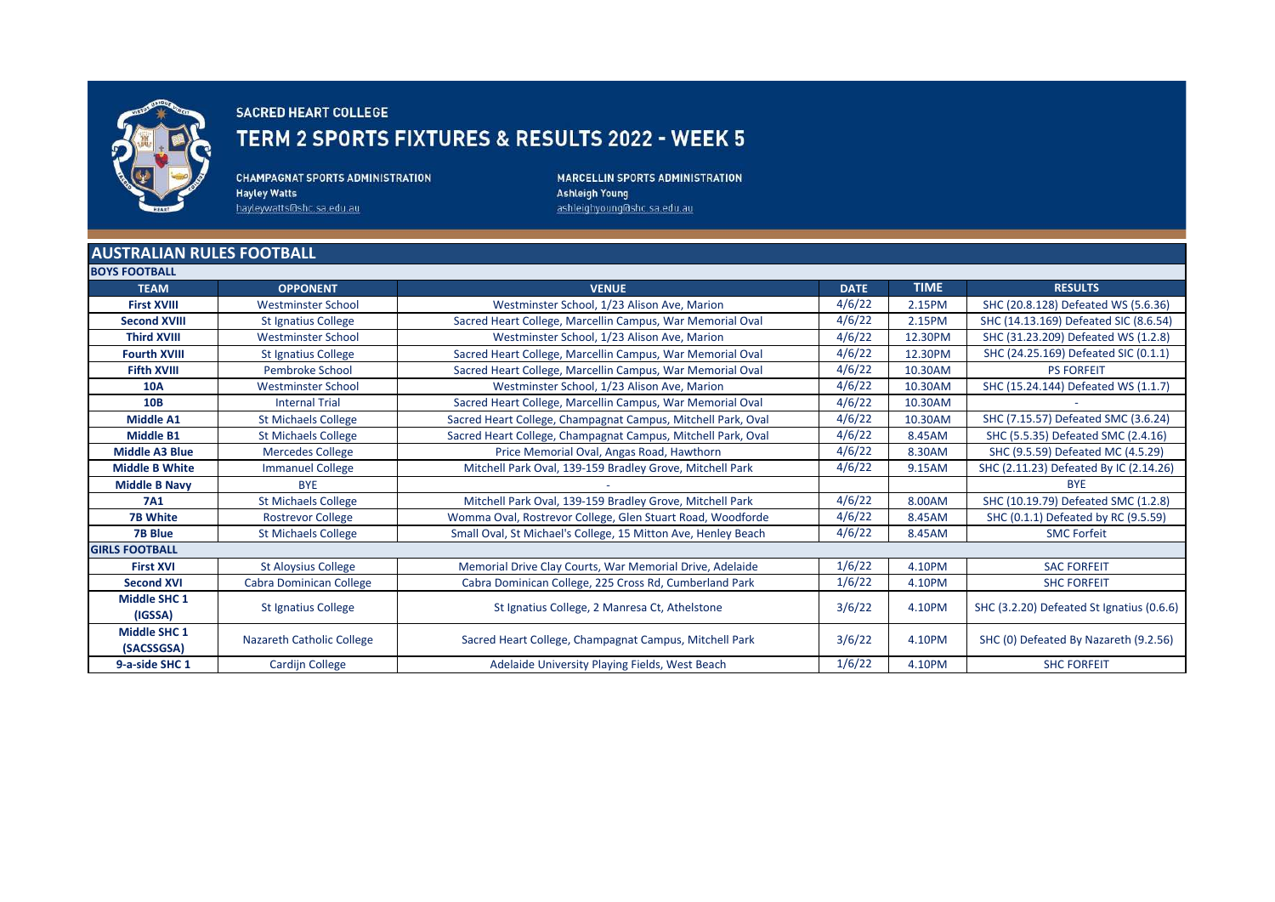

## **SACRED HEART COLLEGE**

## TERM 2 SPORTS FIXTURES & RESULTS 2022 - WEEK 5

**CHAMPAGNAT SPORTS ADMINISTRATION Hayley Watts** hayleywatts@shc.sa.edu.au

MARCELLIN SPORTS ADMINISTRATION **Ashleigh Young** ashleighyoung@shc.sa.edu.au

## **AUSTRALIAN RULES FOOTBALL POVE EQOTPALL**

| <b>DUIS FUUIDALL</b>  |                                  |                                                               |             |             |                                           |
|-----------------------|----------------------------------|---------------------------------------------------------------|-------------|-------------|-------------------------------------------|
| <b>TEAM</b>           | <b>OPPONENT</b>                  | <b>VENUE</b>                                                  | <b>DATE</b> | <b>TIME</b> | <b>RESULTS</b>                            |
| <b>First XVIII</b>    | <b>Westminster School</b>        | Westminster School, 1/23 Alison Ave, Marion                   | 4/6/22      | 2.15PM      | SHC (20.8.128) Defeated WS (5.6.36)       |
| <b>Second XVIII</b>   | <b>St Ignatius College</b>       | Sacred Heart College, Marcellin Campus, War Memorial Oval     | 4/6/22      | 2.15PM      | SHC (14.13.169) Defeated SIC (8.6.54)     |
| <b>Third XVIII</b>    | Westminster School               | Westminster School, 1/23 Alison Ave, Marion                   | 4/6/22      | 12.30PM     | SHC (31.23.209) Defeated WS (1.2.8)       |
| <b>Fourth XVIII</b>   | <b>St Ignatius College</b>       | Sacred Heart College, Marcellin Campus, War Memorial Oval     | 4/6/22      | 12.30PM     | SHC (24.25.169) Defeated SIC (0.1.1)      |
| <b>Fifth XVIII</b>    | <b>Pembroke School</b>           | Sacred Heart College, Marcellin Campus, War Memorial Oval     | 4/6/22      | 10.30AM     | <b>PS FORFEIT</b>                         |
| <b>10A</b>            | <b>Westminster School</b>        | Westminster School, 1/23 Alison Ave, Marion                   | 4/6/22      | 10.30AM     | SHC (15.24.144) Defeated WS (1.1.7)       |
| <b>10B</b>            | <b>Internal Trial</b>            | Sacred Heart College, Marcellin Campus, War Memorial Oval     | 4/6/22      | 10.30AM     |                                           |
| <b>Middle A1</b>      | <b>St Michaels College</b>       | Sacred Heart College, Champagnat Campus, Mitchell Park, Oval  | 4/6/22      | 10.30AM     | SHC (7.15.57) Defeated SMC (3.6.24)       |
| <b>Middle B1</b>      | <b>St Michaels College</b>       | Sacred Heart College, Champagnat Campus, Mitchell Park, Oval  | 4/6/22      | 8.45AM      | SHC (5.5.35) Defeated SMC (2.4.16)        |
| <b>Middle A3 Blue</b> | <b>Mercedes College</b>          | Price Memorial Oval, Angas Road, Hawthorn                     | 4/6/22      | 8.30AM      | SHC (9.5.59) Defeated MC (4.5.29)         |
| <b>Middle B White</b> | <b>Immanuel College</b>          | Mitchell Park Oval, 139-159 Bradley Grove, Mitchell Park      | 4/6/22      | 9.15AM      | SHC (2.11.23) Defeated By IC (2.14.26)    |
| <b>Middle B Navy</b>  | <b>BYE</b>                       |                                                               |             |             | <b>BYE</b>                                |
| <b>7A1</b>            | <b>St Michaels College</b>       | Mitchell Park Oval, 139-159 Bradley Grove, Mitchell Park      | 4/6/22      | 8.00AM      | SHC (10.19.79) Defeated SMC (1.2.8)       |
| <b>7B White</b>       | <b>Rostrevor College</b>         | Womma Oval, Rostrevor College, Glen Stuart Road, Woodforde    | 4/6/22      | 8.45AM      | SHC (0.1.1) Defeated by RC (9.5.59)       |
| <b>7B Blue</b>        | <b>St Michaels College</b>       | Small Oval, St Michael's College, 15 Mitton Ave, Henley Beach | 4/6/22      | 8.45AM      | <b>SMC Forfeit</b>                        |
| <b>GIRLS FOOTBALL</b> |                                  |                                                               |             |             |                                           |
| <b>First XVI</b>      | <b>St Aloysius College</b>       | Memorial Drive Clay Courts, War Memorial Drive, Adelaide      | 1/6/22      | 4.10PM      | <b>SAC FORFEIT</b>                        |
| <b>Second XVI</b>     | Cabra Dominican College          | Cabra Dominican College, 225 Cross Rd, Cumberland Park        | 1/6/22      | 4.10PM      | <b>SHC FORFEIT</b>                        |
| <b>Middle SHC 1</b>   | <b>St Ignatius College</b>       | St Ignatius College, 2 Manresa Ct, Athelstone                 | 3/6/22      | 4.10PM      | SHC (3.2.20) Defeated St Ignatius (0.6.6) |
| (IGSSA)               |                                  |                                                               |             |             |                                           |
| <b>Middle SHC 1</b>   | <b>Nazareth Catholic College</b> | Sacred Heart College, Champagnat Campus, Mitchell Park        | 3/6/22      | 4.10PM      | SHC (0) Defeated By Nazareth (9.2.56)     |
| (SACSSGSA)            |                                  |                                                               |             |             |                                           |
| 9-a-side SHC 1        | <b>Cardijn College</b>           | Adelaide University Playing Fields, West Beach                | 1/6/22      | 4.10PM      | <b>SHC FORFEIT</b>                        |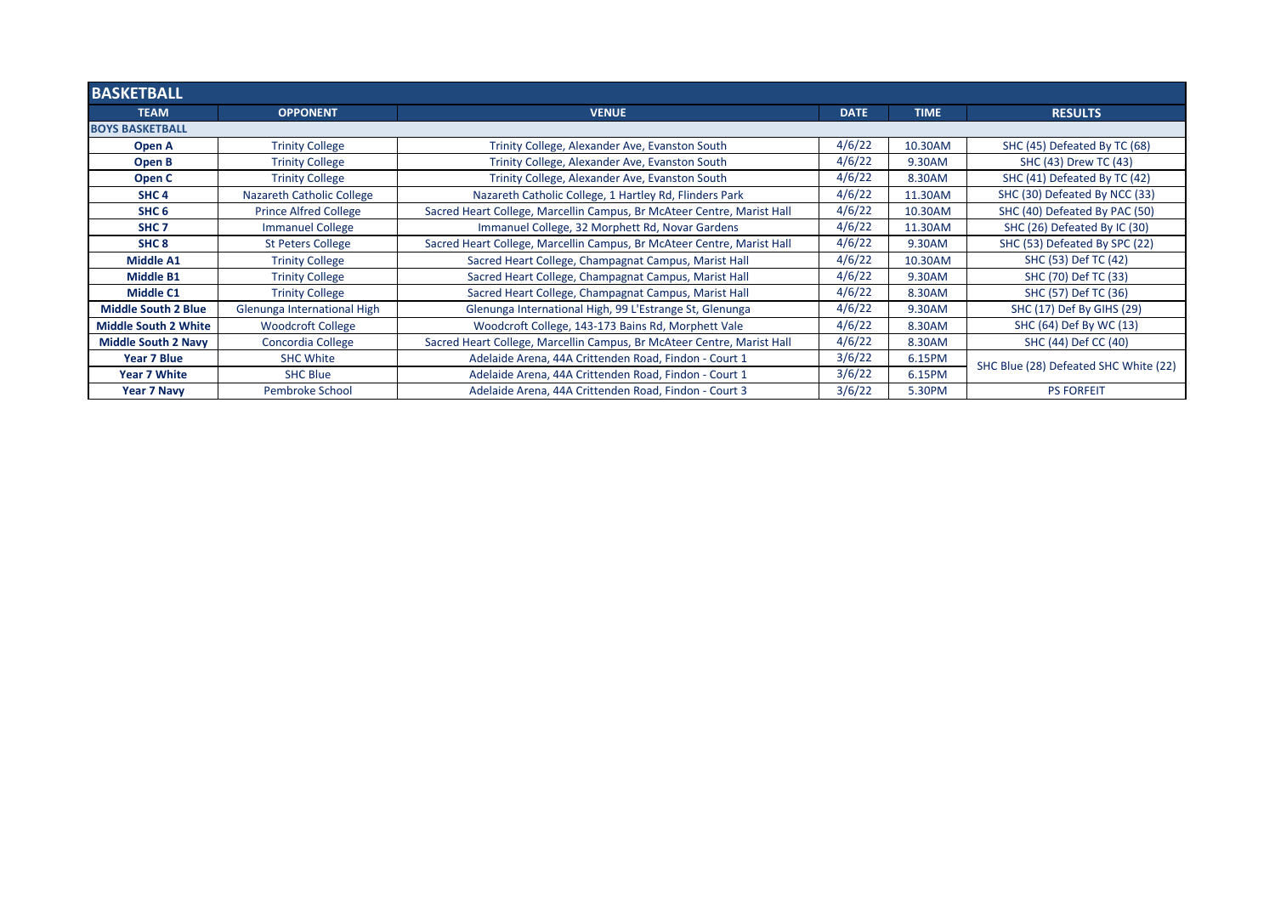| <b>BASKETBALL</b>           |                              |                                                                        |             |             |                                       |  |
|-----------------------------|------------------------------|------------------------------------------------------------------------|-------------|-------------|---------------------------------------|--|
| <b>TEAM</b>                 | <b>OPPONENT</b>              | <b>VENUE</b>                                                           | <b>DATE</b> | <b>TIME</b> | <b>RESULTS</b>                        |  |
| <b>BOYS BASKETBALL</b>      |                              |                                                                        |             |             |                                       |  |
| Open A                      | <b>Trinity College</b>       | Trinity College, Alexander Ave, Evanston South                         | 4/6/22      | 10.30AM     | SHC (45) Defeated By TC (68)          |  |
| Open B                      | <b>Trinity College</b>       | Trinity College, Alexander Ave, Evanston South                         | 4/6/22      | 9.30AM      | SHC (43) Drew TC (43)                 |  |
| Open C                      | <b>Trinity College</b>       | Trinity College, Alexander Ave, Evanston South                         | 4/6/22      | 8.30AM      | SHC (41) Defeated By TC (42)          |  |
| SHC <sub>4</sub>            | Nazareth Catholic College    | Nazareth Catholic College, 1 Hartley Rd, Flinders Park                 | 4/6/22      | 11.30AM     | SHC (30) Defeated By NCC (33)         |  |
| SHC <sub>6</sub>            | <b>Prince Alfred College</b> | Sacred Heart College, Marcellin Campus, Br McAteer Centre, Marist Hall | 4/6/22      | 10.30AM     | SHC (40) Defeated By PAC (50)         |  |
| SHC <sub>7</sub>            | <b>Immanuel College</b>      | Immanuel College, 32 Morphett Rd, Novar Gardens                        | 4/6/22      | 11.30AM     | SHC (26) Defeated By IC (30)          |  |
| SHC <sub>8</sub>            | <b>St Peters College</b>     | Sacred Heart College, Marcellin Campus, Br McAteer Centre, Marist Hall | 4/6/22      | 9.30AM      | SHC (53) Defeated By SPC (22)         |  |
| Middle A1                   | <b>Trinity College</b>       | Sacred Heart College, Champagnat Campus, Marist Hall                   | 4/6/22      | 10.30AM     | SHC (53) Def TC (42)                  |  |
| <b>Middle B1</b>            | <b>Trinity College</b>       | Sacred Heart College, Champagnat Campus, Marist Hall                   | 4/6/22      | 9.30AM      | SHC (70) Def TC (33)                  |  |
| <b>Middle C1</b>            | <b>Trinity College</b>       | Sacred Heart College, Champagnat Campus, Marist Hall                   | 4/6/22      | 8.30AM      | SHC (57) Def TC (36)                  |  |
| <b>Middle South 2 Blue</b>  | Glenunga International High  | Glenunga International High, 99 L'Estrange St, Glenunga                | 4/6/22      | 9.30AM      | SHC (17) Def By GIHS (29)             |  |
| <b>Middle South 2 White</b> | <b>Woodcroft College</b>     | Woodcroft College, 143-173 Bains Rd, Morphett Vale                     | 4/6/22      | 8.30AM      | SHC (64) Def By WC (13)               |  |
| <b>Middle South 2 Navy</b>  | Concordia College            | Sacred Heart College, Marcellin Campus, Br McAteer Centre, Marist Hall | 4/6/22      | 8.30AM      | SHC (44) Def CC (40)                  |  |
| Year 7 Blue                 | <b>SHC White</b>             | Adelaide Arena, 44A Crittenden Road, Findon - Court 1                  | 3/6/22      | 6.15PM      | SHC Blue (28) Defeated SHC White (22) |  |
| Year 7 White                | <b>SHC Blue</b>              | Adelaide Arena, 44A Crittenden Road, Findon - Court 1                  | 3/6/22      | 6.15PM      |                                       |  |
| <b>Year 7 Navy</b>          | Pembroke School              | Adelaide Arena, 44A Crittenden Road, Findon - Court 3                  | 3/6/22      | 5.30PM      | <b>PS FORFEIT</b>                     |  |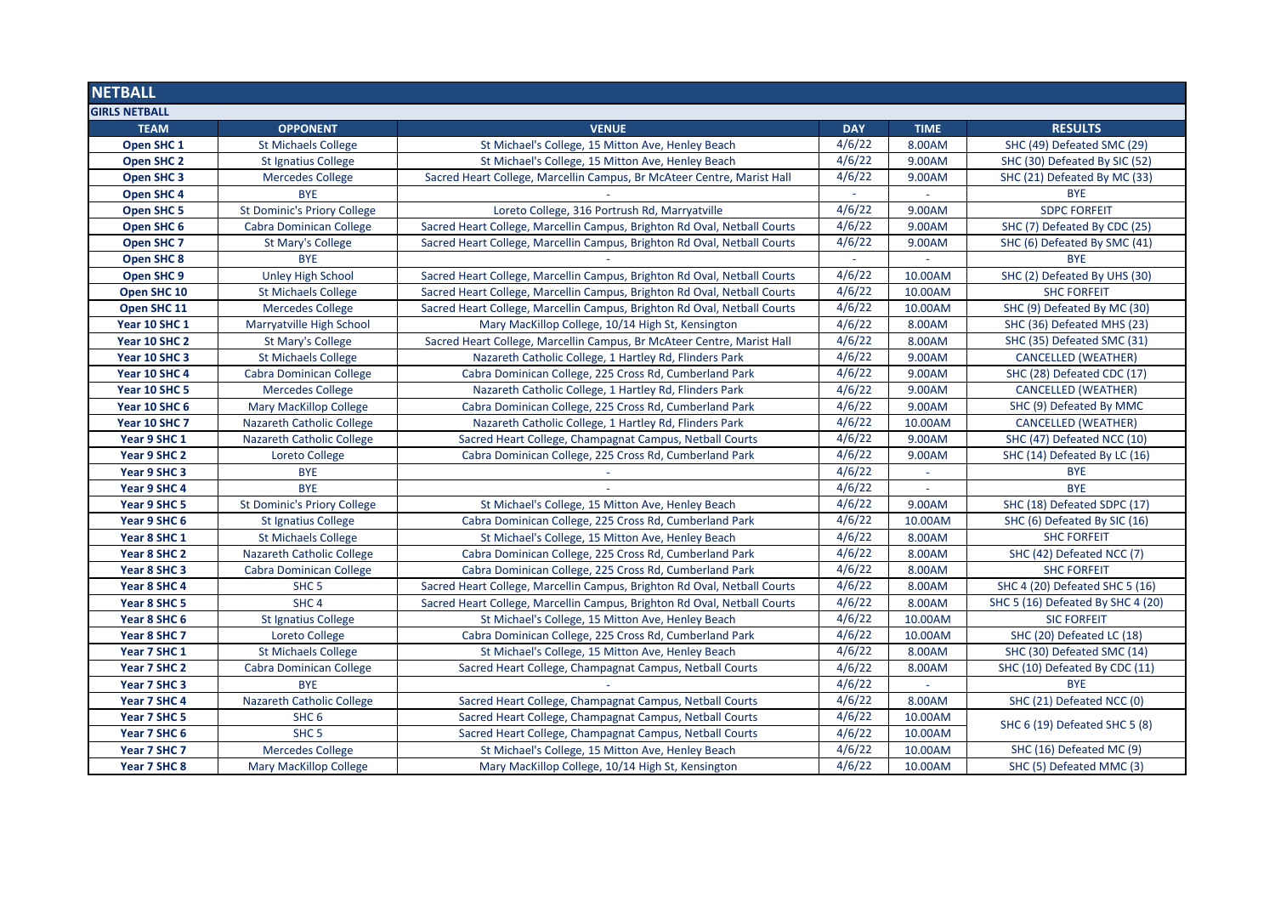| <b>NETBALL</b>        |                                    |                                                                          |            |             |                                   |  |
|-----------------------|------------------------------------|--------------------------------------------------------------------------|------------|-------------|-----------------------------------|--|
| <b>GIRLS NETBALL</b>  |                                    |                                                                          |            |             |                                   |  |
| <b>TEAM</b>           | <b>OPPONENT</b>                    | <b>VENUE</b>                                                             | <b>DAY</b> | <b>TIME</b> | <b>RESULTS</b>                    |  |
| Open SHC 1            | <b>St Michaels College</b>         | St Michael's College, 15 Mitton Ave, Henley Beach                        | 4/6/22     | 8.00AM      | SHC (49) Defeated SMC (29)        |  |
| Open SHC 2            | <b>St Ignatius College</b>         | St Michael's College, 15 Mitton Ave, Henley Beach                        | 4/6/22     | 9.00AM      | SHC (30) Defeated By SIC (52)     |  |
| Open SHC <sub>3</sub> | <b>Mercedes College</b>            | Sacred Heart College, Marcellin Campus, Br McAteer Centre, Marist Hall   | 4/6/22     | 9.00AM      | SHC (21) Defeated By MC (33)      |  |
| Open SHC 4            | <b>BYE</b>                         |                                                                          |            |             | <b>BYE</b>                        |  |
| <b>Open SHC 5</b>     | <b>St Dominic's Priory College</b> | Loreto College, 316 Portrush Rd, Marryatville                            | 4/6/22     | 9.00AM      | <b>SDPC FORFEIT</b>               |  |
| Open SHC 6            | Cabra Dominican College            | Sacred Heart College, Marcellin Campus, Brighton Rd Oval, Netball Courts | 4/6/22     | 9.00AM      | SHC (7) Defeated By CDC (25)      |  |
| Open SHC 7            | St Mary's College                  | Sacred Heart College, Marcellin Campus, Brighton Rd Oval, Netball Courts | 4/6/22     | 9.00AM      | SHC (6) Defeated By SMC (41)      |  |
| <b>Open SHC 8</b>     | <b>BYE</b>                         |                                                                          |            |             | <b>BYE</b>                        |  |
| Open SHC 9            | <b>Unley High School</b>           | Sacred Heart College, Marcellin Campus, Brighton Rd Oval, Netball Courts | 4/6/22     | 10.00AM     | SHC (2) Defeated By UHS (30)      |  |
| Open SHC 10           | <b>St Michaels College</b>         | Sacred Heart College, Marcellin Campus, Brighton Rd Oval, Netball Courts | 4/6/22     | 10.00AM     | <b>SHC FORFEIT</b>                |  |
| Open SHC 11           | <b>Mercedes College</b>            | Sacred Heart College, Marcellin Campus, Brighton Rd Oval, Netball Courts | 4/6/22     | 10.00AM     | SHC (9) Defeated By MC (30)       |  |
| Year 10 SHC 1         | Marryatville High School           | Mary MacKillop College, 10/14 High St, Kensington                        | 4/6/22     | 8.00AM      | SHC (36) Defeated MHS (23)        |  |
| Year 10 SHC 2         | St Mary's College                  | Sacred Heart College, Marcellin Campus, Br McAteer Centre, Marist Hall   | 4/6/22     | 8.00AM      | SHC (35) Defeated SMC (31)        |  |
| Year 10 SHC 3         | <b>St Michaels College</b>         | Nazareth Catholic College, 1 Hartley Rd, Flinders Park                   | 4/6/22     | 9.00AM      | <b>CANCELLED (WEATHER)</b>        |  |
| Year 10 SHC 4         | Cabra Dominican College            | Cabra Dominican College, 225 Cross Rd, Cumberland Park                   | 4/6/22     | 9.00AM      | SHC (28) Defeated CDC (17)        |  |
| Year 10 SHC 5         | <b>Mercedes College</b>            | Nazareth Catholic College, 1 Hartley Rd, Flinders Park                   | 4/6/22     | 9.00AM      | <b>CANCELLED (WEATHER)</b>        |  |
| Year 10 SHC 6         | <b>Mary MacKillop College</b>      | Cabra Dominican College, 225 Cross Rd, Cumberland Park                   | 4/6/22     | 9.00AM      | SHC (9) Defeated By MMC           |  |
| Year 10 SHC 7         | Nazareth Catholic College          | Nazareth Catholic College, 1 Hartley Rd, Flinders Park                   | 4/6/22     | 10.00AM     | <b>CANCELLED (WEATHER)</b>        |  |
| Year 9 SHC 1          | <b>Nazareth Catholic College</b>   | Sacred Heart College, Champagnat Campus, Netball Courts                  | 4/6/22     | 9.00AM      | SHC (47) Defeated NCC (10)        |  |
| Year 9 SHC 2          | Loreto College                     | Cabra Dominican College, 225 Cross Rd, Cumberland Park                   | 4/6/22     | 9.00AM      | SHC (14) Defeated By LC (16)      |  |
| Year 9 SHC 3          | <b>BYE</b>                         |                                                                          | 4/6/22     |             | <b>BYE</b>                        |  |
| Year 9 SHC 4          | <b>BYE</b>                         |                                                                          | 4/6/22     | $\sim$      | <b>BYE</b>                        |  |
| Year 9 SHC 5          | <b>St Dominic's Priory College</b> | St Michael's College, 15 Mitton Ave, Henley Beach                        | 4/6/22     | 9.00AM      | SHC (18) Defeated SDPC (17)       |  |
| Year 9 SHC 6          | <b>St Ignatius College</b>         | Cabra Dominican College, 225 Cross Rd, Cumberland Park                   | 4/6/22     | 10.00AM     | SHC (6) Defeated By SIC (16)      |  |
| Year 8 SHC 1          | <b>St Michaels College</b>         | St Michael's College, 15 Mitton Ave, Henley Beach                        | 4/6/22     | 8.00AM      | <b>SHC FORFEIT</b>                |  |
| Year 8 SHC 2          | <b>Nazareth Catholic College</b>   | Cabra Dominican College, 225 Cross Rd, Cumberland Park                   | 4/6/22     | 8.00AM      | SHC (42) Defeated NCC (7)         |  |
| Year 8 SHC 3          | <b>Cabra Dominican College</b>     | Cabra Dominican College, 225 Cross Rd, Cumberland Park                   | 4/6/22     | 8.00AM      | <b>SHC FORFEIT</b>                |  |
| Year 8 SHC 4          | SHC <sub>5</sub>                   | Sacred Heart College, Marcellin Campus, Brighton Rd Oval, Netball Courts | 4/6/22     | 8.00AM      | SHC 4 (20) Defeated SHC 5 (16)    |  |
| Year 8 SHC 5          | SHC <sub>4</sub>                   | Sacred Heart College, Marcellin Campus, Brighton Rd Oval, Netball Courts | 4/6/22     | 8.00AM      | SHC 5 (16) Defeated By SHC 4 (20) |  |
| Year 8 SHC 6          | <b>St Ignatius College</b>         | St Michael's College, 15 Mitton Ave, Henley Beach                        | 4/6/22     | 10.00AM     | <b>SIC FORFEIT</b>                |  |
| Year 8 SHC 7          | <b>Loreto College</b>              | Cabra Dominican College, 225 Cross Rd, Cumberland Park                   | 4/6/22     | 10.00AM     | SHC (20) Defeated LC (18)         |  |
| Year 7 SHC 1          | <b>St Michaels College</b>         | St Michael's College, 15 Mitton Ave, Henley Beach                        | 4/6/22     | 8.00AM      | SHC (30) Defeated SMC (14)        |  |
| Year 7 SHC 2          | Cabra Dominican College            | Sacred Heart College, Champagnat Campus, Netball Courts                  | 4/6/22     | 8.00AM      | SHC (10) Defeated By CDC (11)     |  |
| Year 7 SHC 3          | <b>BYE</b>                         |                                                                          | 4/6/22     | $\sim$      | <b>BYE</b>                        |  |
| Year 7 SHC 4          | Nazareth Catholic College          | Sacred Heart College, Champagnat Campus, Netball Courts                  | 4/6/22     | 8.00AM      | SHC (21) Defeated NCC (0)         |  |
| Year 7 SHC 5          | SHC <sub>6</sub>                   | Sacred Heart College, Champagnat Campus, Netball Courts                  | 4/6/22     | 10.00AM     | SHC 6 (19) Defeated SHC 5 (8)     |  |
| Year 7 SHC 6          | SHC <sub>5</sub>                   | Sacred Heart College, Champagnat Campus, Netball Courts                  | 4/6/22     | 10.00AM     |                                   |  |
| Year 7 SHC 7          | <b>Mercedes College</b>            | St Michael's College, 15 Mitton Ave, Henley Beach                        | 4/6/22     | 10.00AM     | SHC (16) Defeated MC (9)          |  |
| Year 7 SHC 8          | <b>Mary MacKillop College</b>      | Mary MacKillop College, 10/14 High St, Kensington                        | 4/6/22     | 10.00AM     | SHC (5) Defeated MMC (3)          |  |